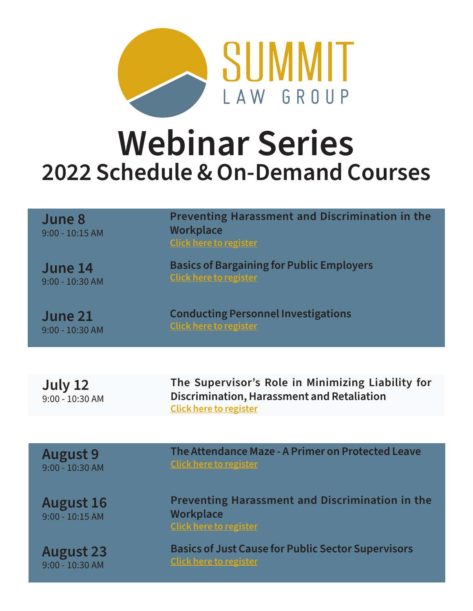

## **Webinar Series 2022 Schedule & On-Demand Courses**

| June 8<br>$9:00 - 10:15$ AM           | <b>Preventing Harassment and Discrimination in the</b><br>Workplace<br><b>Click here to register</b>                             |
|---------------------------------------|----------------------------------------------------------------------------------------------------------------------------------|
| June 14<br>9:00 - 10:30 AM            | <b>Basics of Bargaining for Public Employers</b><br><b>Click here to register</b>                                                |
| June 21<br>$9:00 - 10:30$ AM          | <b>Conducting Personnel Investigations</b><br><b>Click here to register</b>                                                      |
|                                       |                                                                                                                                  |
| July 12<br>9:00 - 10:30 AM            | The Supervisor's Role in Minimizing Liability for<br>Discrimination, Harassment and Retaliation<br><b>Click here to register</b> |
|                                       |                                                                                                                                  |
| <b>August 9</b><br>$9:00 - 10:30$ AM  | The Attendance Maze - A Primer on Protected Leave<br><b>Click here to register</b>                                               |
| <b>August 16</b><br>$9:00 - 10:15$ AM | <b>Preventing Harassment and Discrimination in the</b><br>Workplace<br><b>Click here to register</b>                             |
|                                       |                                                                                                                                  |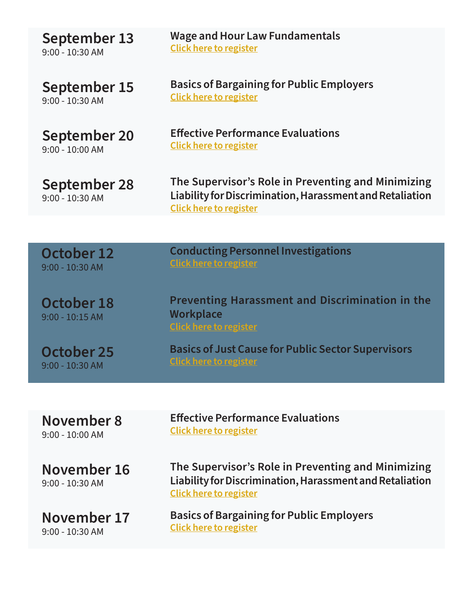| September 13                      | <b>Wage and Hour Law Fundamentals</b>                                                                                                           |
|-----------------------------------|-------------------------------------------------------------------------------------------------------------------------------------------------|
| $9:00 - 10:30$ AM                 | <b>Click here to register</b>                                                                                                                   |
| September 15                      | <b>Basics of Bargaining for Public Employers</b>                                                                                                |
| $9:00 - 10:30$ AM                 | <b>Click here to register</b>                                                                                                                   |
| September 20                      | <b>Effective Performance Evaluations</b>                                                                                                        |
| $9:00 - 10:00$ AM                 | <b>Click here to register</b>                                                                                                                   |
| September 28<br>$9:00 - 10:30$ AM | The Supervisor's Role in Preventing and Minimizing<br>Liability for Discrimination, Harassment and Retaliation<br><b>Click here to register</b> |
|                                   |                                                                                                                                                 |
| <b>October 12</b>                 | <b>Conducting Personnel Investigations</b>                                                                                                      |
| $9:00 - 10:30$ AM                 | <b>Click here to register</b>                                                                                                                   |
| October 18<br>$9:00 - 10:15$ AM   | <b>Preventing Harassment and Discrimination in the</b><br>Workplace<br><b>Click here to register</b>                                            |
| October 25                        | <b>Basics of Just Cause for Public Sector Supervisors</b>                                                                                       |
| 9:00 - 10:30 AM                   | <b>Click here to register</b>                                                                                                                   |
|                                   |                                                                                                                                                 |
| November 8                        | <b>Effective Performance Evaluations</b>                                                                                                        |
| $9:00 - 10:00$ AM                 | <b>Click here to register</b>                                                                                                                   |
| November 16<br>9:00 - 10:30 AM    | The Supervisor's Role in Preventing and Minimizing<br>Liability for Discrimination, Harassment and Retaliation<br><b>Click here to register</b> |
| November 17                       | <b>Basics of Bargaining for Public Employers</b>                                                                                                |
| $9:00 - 10:30$ AM                 | <b>Click here to register</b>                                                                                                                   |